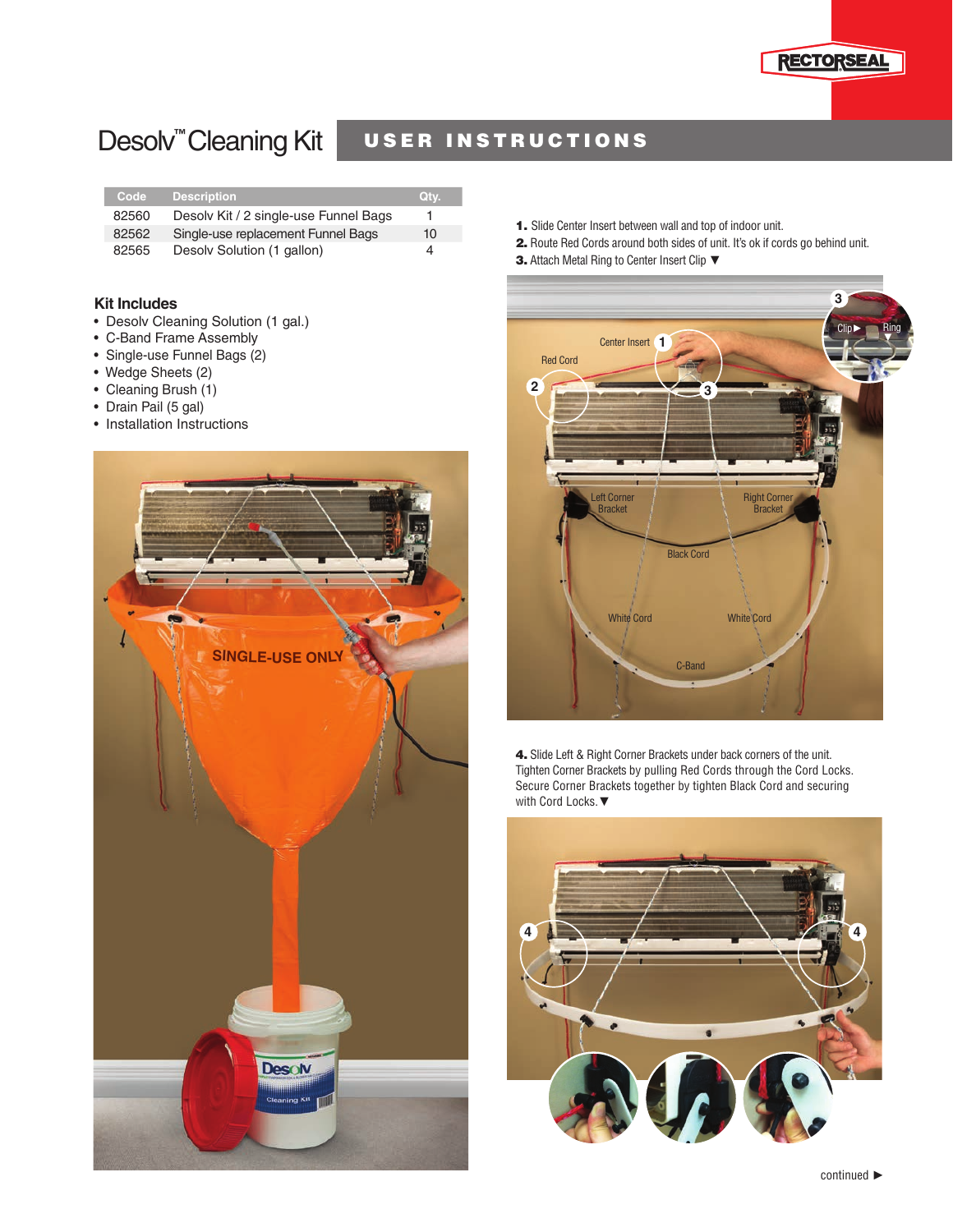

## Desolv<sup>™</sup>Cleaning Kit

## USER INSTRUCTIONS

| Code  | <b>Description</b>                    | Qtv. |
|-------|---------------------------------------|------|
| 82560 | Desoly Kit / 2 single-use Funnel Bags | 1    |
| 82562 | Single-use replacement Funnel Bags    | 10   |
| 82565 | Desoly Solution (1 gallon)            | 4    |

## **Kit Includes**

- Desolv Cleaning Solution (1 gal.)
- C-Band Frame Assembly
- Single-use Funnel Bags (2)
- Wedge Sheets (2)
- Cleaning Brush (1)
- Drain Pail (5 gal)
- Installation Instructions



- 1. Slide Center Insert between wall and top of indoor unit.
- 2. Route Red Cords around both sides of unit. It's ok if cords go behind unit.
- 3. Attach Metal Ring to Center Insert Clip ▼



4. Slide Left & Right Corner Brackets under back corners of the unit. Tighten Corner Brackets by pulling Red Cords through the Cord Locks. Secure Corner Brackets together by tighten Black Cord and securing with Cord Locks. ▼